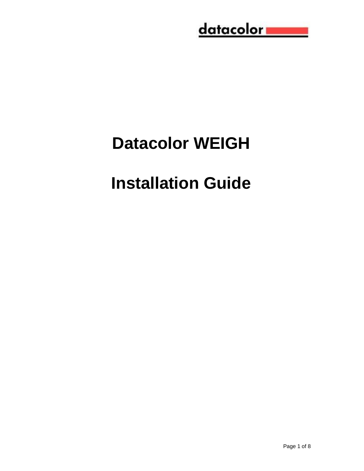## <u>datacolor www.</u>

# **Datacolor WEIGH**

# **Installation Guide**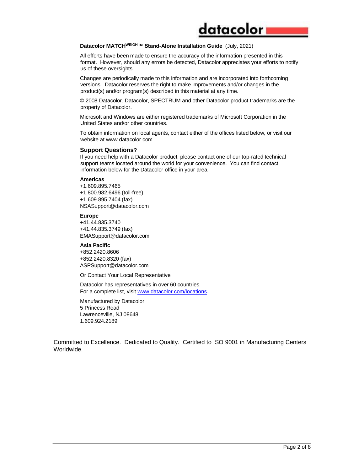#### **Datacolor MATCHWEIGH™ Stand-Alone Installation Guide** (July, 2021)

All efforts have been made to ensure the accuracy of the information presented in this format. However, should any errors be detected, Datacolor appreciates your efforts to notify us of these oversights.

datacolor

Changes are periodically made to this information and are incorporated into forthcoming versions. Datacolor reserves the right to make improvements and/or changes in the product(s) and/or program(s) described in this material at any time.

© 2008 Datacolor. Datacolor, SPECTRUM and other Datacolor product trademarks are the property of Datacolor.

Microsoft and Windows are either registered trademarks of Microsoft Corporation in the United States and/or other countries.

To obtain information on local agents, contact either of the offices listed below, or visit our website at www.datacolor.com.

#### **Support Questions?**

If you need help with a Datacolor product, please contact one of our top-rated technical support teams located around the world for your convenience. You can find contact information below for the Datacolor office in your area.

#### **Americas**

+1.609.895.7465 +1.800.982.6496 (toll-free) +1.609.895.7404 (fax) NSASupport@datacolor.com

**Europe**

+41.44.835.3740 +41.44.835.3749 (fax) EMASupport@datacolor.com

#### **Asia Pacific**

+852.2420.8606 +852.2420.8320 (fax) ASPSupport@datacolor.com

Or Contact Your Local Representative

Datacolor has representatives in over 60 countries. For a complete list, visit [www.datacolor.com/locations.](http://www.datacolor.com/locations)

Manufactured by Datacolor 5 Princess Road Lawrenceville, NJ 08648 1.609.924.2189

Committed to Excellence. Dedicated to Quality. Certified to ISO 9001 in Manufacturing Centers Worldwide.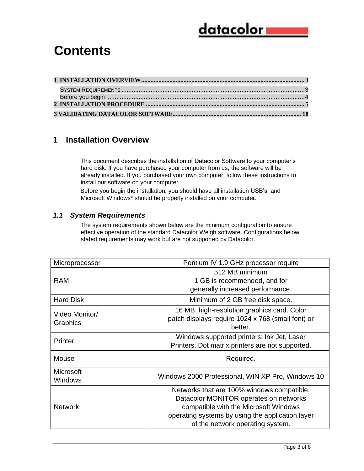### <u>datacolor i</u>

### **Contents**

#### <span id="page-2-0"></span>**1 Installation Overview**

This document describes the installation of Datacolor Software to your computer's hard disk. If you have purchased your computer from us, the software will be already installed. If you purchased your own computer, follow these instructions to install our software on your computer.

Before you begin the installation, you should have all installation USB's, and Microsoft Windows\* should be properly installed on your computer.

#### <span id="page-2-1"></span>*1.1 System Requirements*

The system requirements shown below are the minimum configuration to ensure effective operation of the standard Datacolor Weigh software. Configurations below stated requirements may work but are not supported by Datacolor.

| Microprocessor              | Pentium IV 1.9 GHz processor require                                                                                                                                                                                  |  |  |
|-----------------------------|-----------------------------------------------------------------------------------------------------------------------------------------------------------------------------------------------------------------------|--|--|
| <b>RAM</b>                  | 512 MB minimum<br>1 GB is recommended, and for                                                                                                                                                                        |  |  |
|                             | generally increased performance.                                                                                                                                                                                      |  |  |
| <b>Hard Disk</b>            | Minimum of 2 GB free disk space.                                                                                                                                                                                      |  |  |
| Video Monitor/<br>Graphics  | 16 MB, high-resolution graphics card. Color<br>patch displays require 1024 x 768 (small font) or<br>better.                                                                                                           |  |  |
| Printer                     | Windows supported printers: Ink Jet, Laser<br>Printers. Dot matrix printers are not supported.                                                                                                                        |  |  |
| Mouse                       | Required.                                                                                                                                                                                                             |  |  |
| <b>Microsoft</b><br>Windows | Windows 2000 Professional, WIN XP Pro, Windows 10                                                                                                                                                                     |  |  |
| <b>Network</b>              | Networks that are 100% windows compatible.<br>Datacolor MONITOR operates on networks<br>compatible with the Microsoft Windows<br>operating systems by using the application layer<br>of the network operating system. |  |  |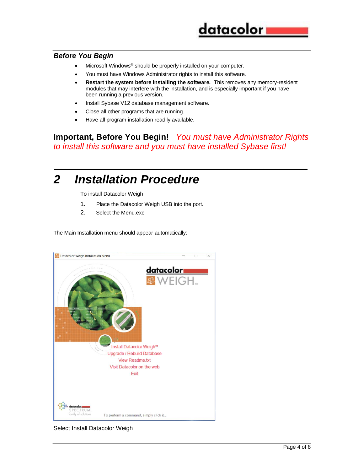#### *Before You Begin*

- Microsoft Windows® should be properly installed on your computer.
- You must have Windows Administrator rights to install this software.
- **Restart the system before installing the software.** This removes any memory-resident modules that may interfere with the installation, and is especially important if you have been running a previous version.
- Install Sybase V12 database management software.
- Close all other programs that are running.
- Have all program installation readily available.

**Important, Before You Begin!** *You must have Administrator Rights to install this software and you must have installed Sybase first!* 

*\_\_\_\_\_\_\_\_\_\_\_\_\_\_\_\_\_\_\_\_\_\_\_\_\_\_\_\_\_\_\_\_\_\_\_\_\_\_\_\_\_\_\_\_\_\_\_\_\_\_\_\_\_\_\_\_\_\_\_\_\_\_\_\_*

### *2 Installation Procedure*

To install Datacolor Weigh

- 1. Place the Datacolor Weigh USB into the port.
- 2. Select the Menu.exe

The Main Installation menu should appear automatically:



#### Select Install Datacolor Weigh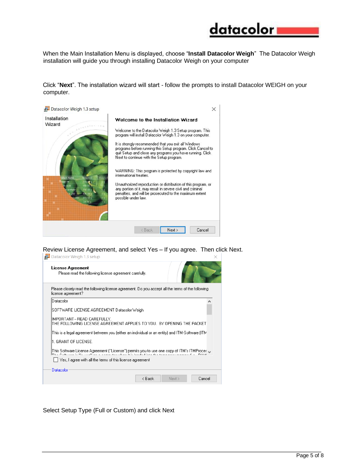

When the Main Installation Menu is displayed, choose "**Install Datacolor Weigh**" The Datacolor Weigh installation will guide you through installing Datacolor Weigh on your computer

Click "**Next**". The installation wizard will start - follow the prompts to install Datacolor WEIGH on your computer.



Review License Agreement, and select Yes – If you agree. Then click Next.<br> $\frac{129}{100}$  Datacolor Weigh 1.3 setup



Select Setup Type (Full or Custom) and click Next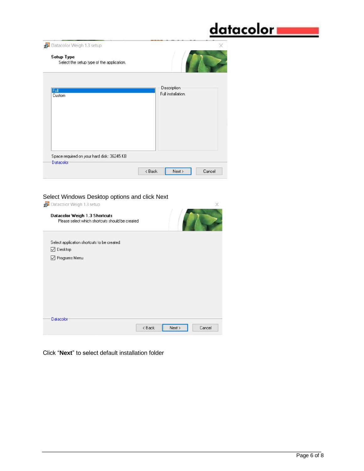## <u>datacolor</u>

| Setup Type<br>Select the setup type of the application. |                                   |
|---------------------------------------------------------|-----------------------------------|
| Full<br>Custom                                          | Description<br>Full installation. |
| Space required on your hard disk: 36245 KB              |                                   |
|                                                         |                                   |
| <b>Datacolor</b>                                        |                                   |

#### Select Windows Desktop options and click Next

| Datacolor Weigh 1.3 setup                                                        |                                                        |        | $\times$ |
|----------------------------------------------------------------------------------|--------------------------------------------------------|--------|----------|
| Datacolor Weigh 1.3 Shortcuts<br>Please select which shortcuts should be created |                                                        |        |          |
| Select application shortcuts to be created:                                      |                                                        |        |          |
| $\nabla$ Desktop                                                                 |                                                        |        |          |
| □ Programs Menu                                                                  |                                                        |        |          |
|                                                                                  |                                                        |        |          |
|                                                                                  |                                                        |        |          |
|                                                                                  |                                                        |        |          |
|                                                                                  |                                                        |        |          |
|                                                                                  |                                                        |        |          |
|                                                                                  |                                                        |        |          |
|                                                                                  |                                                        |        |          |
| <b>Datacolor</b>                                                                 |                                                        |        |          |
|                                                                                  | <back< td=""><td>Next &gt;</td><td>Cancel</td></back<> | Next > | Cancel   |
|                                                                                  |                                                        |        |          |

Click "**Next**" to select default installation folder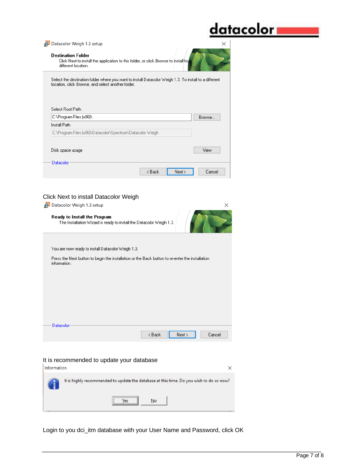### <u>datacolor</u>

| Datacolor Weigh 1.3 setup                                                                                                                                    | ×      |
|--------------------------------------------------------------------------------------------------------------------------------------------------------------|--------|
| <b>Destination Folder</b><br>Click Next to install the application to this folder, or click Browse to install to<br>different location.                      |        |
| Select the destination folder where you want to install Datacolor Weigh 1.3. To install to a different<br>location, click Browse, and select another folder. |        |
| Select Boot Path<br>C:\Program Files [x86]\                                                                                                                  | Browse |
| Install Path                                                                                                                                                 |        |
| C:\Program Files (x86)\Datacolor\Spectrum\Datacolor Weigh                                                                                                    |        |
| Disk space usage                                                                                                                                             | View   |
| Datacolor<br>< Back<br>Next >                                                                                                                                | Cancel |

#### Click Next to install Datacolor Weigh

| Datacolor Weigh 1.3 setup                                                                                       |        |        | ×      |
|-----------------------------------------------------------------------------------------------------------------|--------|--------|--------|
| Ready to Install the Program<br>The Installation Wizard is ready to install the Datacolor Weigh 1.3.            |        |        |        |
| You are now ready to install Datacolor Weigh 1.3.                                                               |        |        |        |
| Press the Next button to begin the installation or the Back button to re-enter the installation<br>information. |        |        |        |
|                                                                                                                 |        |        |        |
|                                                                                                                 |        |        |        |
|                                                                                                                 |        |        |        |
| Datacolor                                                                                                       | < Back | Next > | Cancel |
|                                                                                                                 |        |        |        |

#### It is recommended to update your database



Login to you dci\_itm database with your User Name and Password, click OK